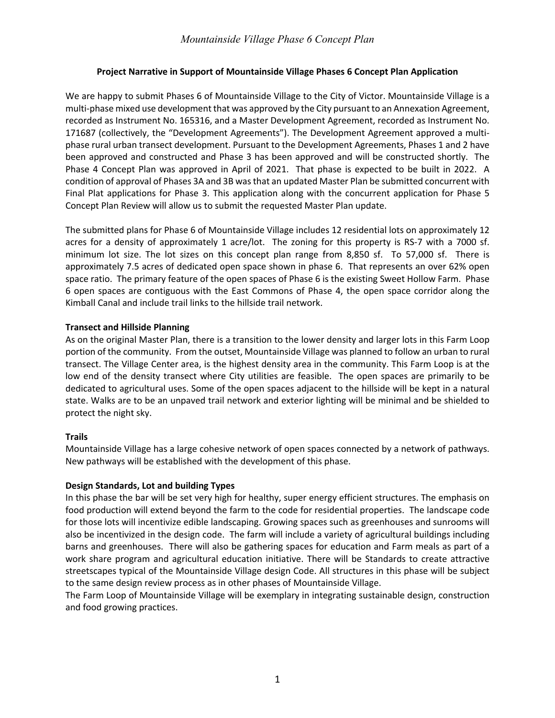### **Project Narrative in Support of Mountainside Village Phases 6 Concept Plan Application**

We are happy to submit Phases 6 of Mountainside Village to the City of Victor. Mountainside Village is a multi-phase mixed use development that was approved by the City pursuant to an Annexation Agreement, recorded as Instrument No. 165316, and a Master Development Agreement, recorded as Instrument No. 171687 (collectively, the "Development Agreements"). The Development Agreement approved a multiphase rural urban transect development. Pursuant to the Development Agreements, Phases 1 and 2 have been approved and constructed and Phase 3 has been approved and will be constructed shortly. The Phase 4 Concept Plan was approved in April of 2021. That phase is expected to be built in 2022. A condition of approval of Phases 3A and 3B was that an updated Master Plan be submitted concurrent with Final Plat applications for Phase 3. This application along with the concurrent application for Phase 5 Concept Plan Review will allow us to submit the requested Master Plan update.

The submitted plans for Phase 6 of Mountainside Village includes 12 residential lots on approximately 12 acres for a density of approximately 1 acre/lot. The zoning for this property is RS-7 with a 7000 sf. minimum lot size. The lot sizes on this concept plan range from 8,850 sf. To 57,000 sf. There is approximately 7.5 acres of dedicated open space shown in phase 6. That represents an over 62% open space ratio. The primary feature of the open spaces of Phase 6 is the existing Sweet Hollow Farm. Phase 6 open spaces are contiguous with the East Commons of Phase 4, the open space corridor along the Kimball Canal and include trail links to the hillside trail network.

### **Transect and Hillside Planning**

As on the original Master Plan, there is a transition to the lower density and larger lots in this Farm Loop portion of the community. From the outset, Mountainside Village was planned to follow an urban to rural transect. The Village Center area, is the highest density area in the community. This Farm Loop is at the low end of the density transect where City utilities are feasible. The open spaces are primarily to be dedicated to agricultural uses. Some of the open spaces adjacent to the hillside will be kept in a natural state. Walks are to be an unpaved trail network and exterior lighting will be minimal and be shielded to protect the night sky.

# **Trails**

Mountainside Village has a large cohesive network of open spaces connected by a network of pathways. New pathways will be established with the development of this phase.

# **Design Standards, Lot and building Types**

In this phase the bar will be set very high for healthy, super energy efficient structures. The emphasis on food production will extend beyond the farm to the code for residential properties. The landscape code for those lots will incentivize edible landscaping. Growing spaces such as greenhouses and sunrooms will also be incentivized in the design code. The farm will include a variety of agricultural buildings including barns and greenhouses. There will also be gathering spaces for education and Farm meals as part of a work share program and agricultural education initiative. There will be Standards to create attractive streetscapes typical of the Mountainside Village design Code. All structures in this phase will be subject to the same design review process as in other phases of Mountainside Village.

The Farm Loop of Mountainside Village will be exemplary in integrating sustainable design, construction and food growing practices.